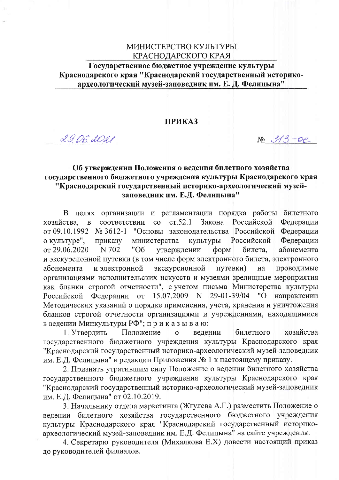#### МИНИСТЕРСТВО КУЛЬТУРЫ КРАСНОДАРСКОГО КРАЯ

Государственное бюджетное учреждение культуры Краснодарского края "Краснодарский государственный историкоархеологический музей-заповедник им. Е. Д. Фелицына"

#### **ПРИКАЗ**

29.06.2021

 $Ne313 - 0e$ 

## Об утверждении Положения о ведении билетного хозяйства государственного бюджетного учреждения культуры Краснодарского края "Краснодарский государственный историко-археологический музейзаповедник им. Е.Д. Фелицына"

В целях организации и регламентации порядка работы билетного  $cr.52.1$ Закона Российской Федерации соответствии  $\overline{c}$ хозяйства,  $\mathbf{B}$ Федерации от 09.10.1992 № 3612-1 "Основы законодательства Российской Федерации о культуре", министерства культуры Российской приказу от 29.06.2020 абонемента N 702 "O<sub>6</sub> утверждении  $\phi$ <sub>O</sub> $\mu$ билета, и экскурсионной путевки (в том числе форм электронного билета, электронного экскурсионной абонемента и электронной путевки) проводимые на организациями исполнительских искусств и музеями зрелищные мероприятия как бланки строгой отчетности", с учетом письма Министерства культуры Федерации от 15.07.2009 N 29-01-39/04 Российской "О направлении Методических указаний о порядке применения, учета, хранения и уничтожения бланков строгой отчетности организациями и учреждениями, находящимися в ведении Минкультуры РФ"; приказываю:

Положение 1. Утвердить  $\mathbf{o}$ билетного хозяйства ведении государственного бюджетного учреждения культуры Краснодарского края "Краснодарский государственный историко-археологический музей-заповедник им. Е.Д. Фелицына" в редакции Приложения № 1 к настоящему приказу.

2. Признать утратившим силу Положение о ведении билетного хозяйства государственного бюджетного учреждения культуры Краснодарского края "Краснодарский государственный историко-археологический музей-заповедник им. Е.Д. Фелицына" от 02.10.2019.

3. Начальнику отдела маркетинга (Жгулева А.Г.) разместить Положение о ведении билетного хозяйства государственного бюджетного учреждения культуры Краснодарского края "Краснодарский государственный историкоархеологический музей-заповедник им. Е.Д. Фелицына" на сайте учреждения.

4. Секретарю руководителя (Михалкова Е.Х) довести настоящий приказ до руководителей филиалов.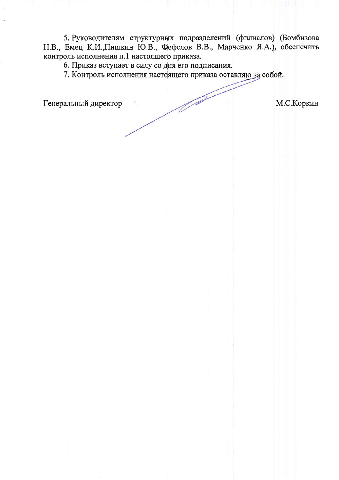5. Руководителям структурных подразделений (филиалов) (Бомбизова Н.В., Емец К.И., Пишкин Ю.В., Фефелов В.В., Марченко Я.А.), обеспечить контроль исполнения п.1 настоящего приказа.

6. Приказ вступает в силу со дня его подписания.

7. Контроль исполнения настоящего приказа оставляю за собой.

Генеральный директор

М.С.Коркин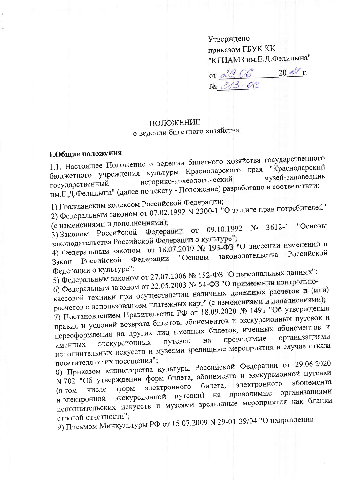Утверждено приказом ГБУК КК "КГИАМЗ им.Е.Д.Фелицына"

or <u>29.06</u> 20 21 r.<br>N<u>o 313-0</u>C

#### ПОЛОЖЕНИЕ

о ведении билетного хозяйства

### 1.Общие положения

1.1. Настоящее Положение о ведении билетного хозяйства государственного бюджетного учреждения культуры Краснодарского края "Краснодарский музей-заповедник историко-археологический государственный им.Е.Д.Фелицына" (далее по тексту - Положение) разработано в соответствии:

1) Гражданским кодексом Российской Федерации;

2) Федеральным законом от 07.02.1992 N 2300-1 "О защите прав потребителей"

(с изменениями и дополнениями);

№ 3612-1 "Основы 3) Законом Российской Федерации от 09.10.1992 законодательства Российской Федерации о культуре";

4) Федеральным законом от 18.07.2019 № 193-ФЗ "О внесении изменений в Российской законодательства "Основы Федерации Российской Закон Федерации о культуре";

5) Федеральным законом от 27.07.2006 № 152-ФЗ "О персональных данных";

6) Федеральным законом от 22.05.2003 № 54-ФЗ "О применении контрольно-

кассовой техники при осуществлении наличных денежных расчетов и (или) расчетов с использованием платежных карт" (с изменениями и дополнениями);

7) Постановлением Правительства РФ от 18.09.2020 № 1491 "Об утверждении правил и условий возврата билетов, абонементов и экскурсионных путевок и переоформления на других лиц именных билетов, именных абонементов и организациями проводимые путевок на экскурсионных именных исполнительных искусств и музеями зрелищные мероприятия в случае отказа посетителя от их посещения";

8) Приказом министерства культуры Российской Федерации от 29.06.2020 N 702 "Об утверждении форм билета, абонемента и экскурсионной путевки электронного билета, электронного форм числе экскурсионной путевки) на проводимые организациями  $(B$  TOM исполнительских искусств и музеями зрелищные мероприятия как бланки и электронной строгой отчетности";

9) Письмом Минкультуры РФ от 15.07.2009 N 29-01-39/04 "О направлении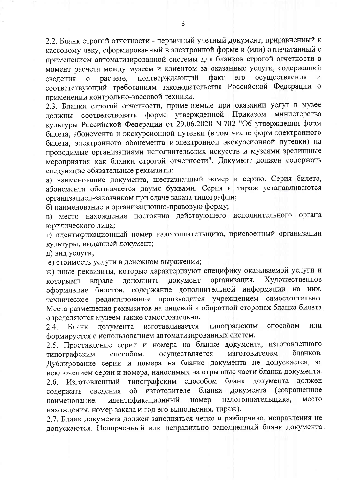2.2. Бланк строгой отчетности - первичный учетный документ, приравненный к кассовому чеку, сформированный в электронной форме и (или) отпечатанный с применением автоматизированной системы для бланков строгой отчетности в момент расчета между музеем и клиентом за оказанные услуги, содержащий подтверждающий осуществления факт его  $\overline{M}$ свеления  $\Omega$ расчете. соответствующий требованиям законодательства Российской Федерации о применении контрольно-кассовой техники.

2.3. Бланки строгой отчетности, применяемые при оказании услуг в музее форме утвержденной Приказом министерства соответствовать должны культуры Российской Федерации от 29.06.2020 N 702 "Об утверждении форм билета, абонемента и экскурсионной путевки (в том числе форм электронного билета, электронного абонемента и электронной экскурсионной путевки) на проводимые организациями исполнительских искусств и музеями зрелищные мероприятия как бланки строгой отчетности". Документ должен содержать следующие обязательные реквизиты:

а) наименование документа, шестизначный номер и серию. Серия билета, абонемента обозначается двумя буквами. Серия и тираж устанавливаются организацией-заказчиком при сдаче заказа типографии;

б) наименование и организационно-правовую форму;

в) место нахождения постоянно действующего исполнительного органа юридического лица;

г) идентификационный номер налогоплательщика, присвоенный организации культуры, выдавшей документ;

д) вид услуги;

е) стоимость услуги в денежном выражении;

ж) иные реквизиты, которые характеризуют специфику оказываемой услуги и организация. Художественное дополнить документ которыми вправе оформление билетов, содержание дополнительной информации на них, техническое редактирование производится учреждением самостоятельно. Места размещения реквизитов на лицевой и оборотной сторонах бланка билета определяются музеем также самостоятельно.

типографским способом или документа изготавливается  $2.4.$ Бланк формируется с использованием автоматизированных систем.

2.5. Проставление серии и номера на бланке документа, изготовленного осуществляется способом, изготовителем бланков. типографским Дублирование серии и номера на бланке документа не допускается, за исключением серии и номера, наносимых на отрывные части бланка документа. типографским способом бланк документа должен Изготовленный  $2.6.$ об изготовителе бланка документа (сокращенное сведения содержать налогоплательщика, идентификационный место наименование, номер нахождения, номер заказа и год его выполнения, тираж).

2.7. Бланк документа должен заполняться четко и разборчиво, исправления не допускаются. Испорченный или неправильно заполненный бланк документа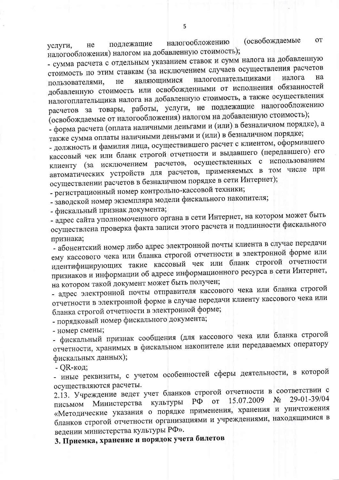(освобождаемые OT налогообложению подлежащие He услуги, налогообложения) налогом на добавленную стоимость);

- сумма расчета с отдельным указанием ставок и сумм налога на добавленную стоимость по этим ставкам (за исключением случаев осуществления расчетов налогоплательщиками на налога являющимися He пользователями, добавленную стоимость или освобожденными от исполнения обязанностей налогоплательщика налога на добавленную стоимость, а также осуществления расчетов за товары, работы, услуги, не подлежащие налогообложению (освобождаемые от налогообложения) налогом на добавленную стоимость);

- форма расчета (оплата наличными деньгами и (или) в безналичном порядке), а также сумма оплаты наличными деньгами и (или) в безналичном порядке;

- должность и фамилия лица, осуществившего расчет с клиентом, оформившего кассовый чек или бланк строгой отчетности и выдавшего (передавшего) его клиенту (за исключением расчетов, осуществленных с использованием автоматических устройств для расчетов, применяемых в том числе при осуществлении расчетов в безналичном порядке в сети Интернет);

- регистрационный номер контрольно-кассовой техники;

- заводской номер экземпляра модели фискального накопителя;

- фискальный признак документа;

- адрес сайта уполномоченного органа в сети Интернет, на котором может быть осуществлена проверка факта записи этого расчета и подлинности фискального признака;

- абонентский номер либо адрес электронной почты клиента в случае передачи ему кассового чека или бланка строгой отчетности в электронной форме или идентифицирующих такие кассовый чек или бланк строгой отчетности признаков и информации об адресе информационного ресурса в сети Интернет, на котором такой документ может быть получен;

- адрес электронной почты отправителя кассового чека или бланка строгой отчетности в электронной форме в случае передачи клиенту кассового чека или бланка строгой отчетности в электронной форме;

- порядковый номер фискального документа;

- номер смены;

- фискальный признак сообщения (для кассового чека или бланка строгой отчетности, хранимых в фискальном накопителе или передаваемых оператору фискальных данных);

- QR-код;

- иные реквизиты, с учетом особенностей сферы деятельности, в которой осуществляются расчеты.

2.13. Учреждение ведет учет бланков строгой отчетности в соответствии с 29-01-39/04  $N_2$ 15.07.2009 Министерства культуры  $P\Phi$ **OT** письмом «Методические указания о порядке применения, хранения и уничтожения бланков строгой отчетности организациями и учреждениями, находящимися в ведении министерства культуры РФ».

3. Приемка, хранение и порядок учета билетов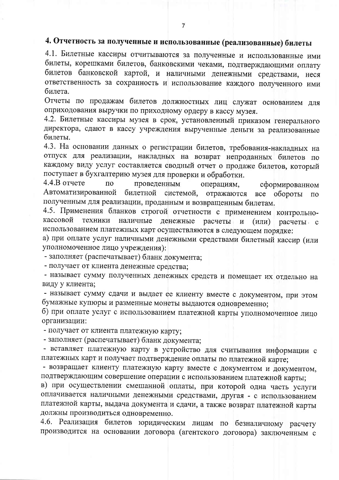# 4. Отчетность за полученные и использованные (реализованные) билеты

4.1. Билетные кассиры отчитываются за полученные и использованные ими билеты, корешками билетов, банковскими чеками, подтверждающими оплату билетов банковской картой, и наличными денежными средствами, неся ответственность за сохранность и использование каждого полученного ими билета.

Отчеты по продажам билетов должностных лиц служат основанием для оприходования выручки по приходному ордеру в кассу музея.

4.2. Билетные кассиры музея в срок, установленный приказом генерального директора, сдают в кассу учреждения вырученные деньги за реализованные билеты.

4.3. На основании данных о регистрации билетов, требования-накладных на отпуск для реализации, накладных на возврат непроданных билетов по каждому виду услуг составляется сводный отчет о продаже билетов, который поступает в бухгалтерию музея для проверки и обработки.

 $4.4.B$  orgere  $\Pi$ O проведенным операциям, сформированном Автоматизированной билетной системой, отражаются все обороты  $\Pi{\rm O}$ полученным для реализации, проданным и возвращенным билетам.

4.5. Применения бланков строгой отчетности с применением контрольнокассовой техники наличные денежные расчеты и  $(MJ)$ расчеты с использованием платежных карт осуществляются в следующем порядке:

а) при оплате услуг наличными денежными средствами билетный кассир (или уполномоченное лицо учреждения):

- заполняет (распечатывает) бланк документа;

- получает от клиента денежные средства:

- называет сумму полученных денежных средств и помещает их отдельно на виду у клиента;

- называет сумму сдачи и выдает ее клиенту вместе с документом, при этом бумажные купюры и разменные монеты выдаются одновременно;

б) при оплате услуг с использованием платежной карты уполномоченное лицо организации:

- получает от клиента платежную карту;

- заполняет (распечатывает) бланк документа;

- вставляет платежную карту в устройство для считывания информации с платежных карт и получает подтверждение оплаты по платежной карте;

- возвращает клиенту платежную карту вместе с документом и документом, подтверждающим совершение операции с использованием платежной карты;

в) при осуществлении смешанной оплаты, при которой одна часть услуги оплачивается наличными денежными средствами, другая - с использованием платежной карты, выдача документа и сдачи, а также возврат платежной карты должны производиться одновременно.

4.6. Реализация билетов юридическим лицам по безналичному расчету производится на основании договора (агентского договора) заключенным с